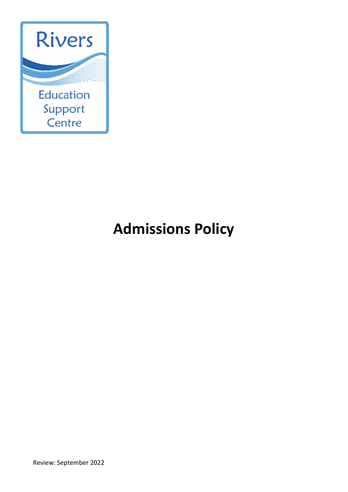

# **Admissions Policy**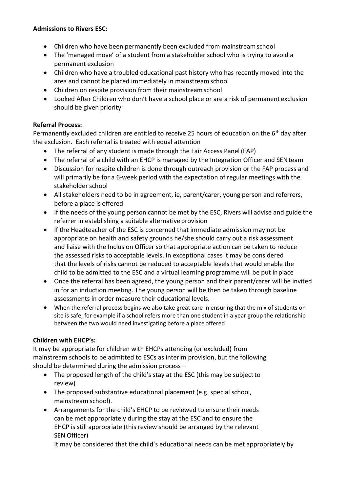#### **Admissions to Rivers ESC:**

- Children who have been permanently been excluded from mainstreamschool
- The 'managed move' of a student from a stakeholder school who is trying to avoid a permanent exclusion
- Children who have a troubled educational past history who has recently moved into the area and cannot be placed immediately in mainstreamschool
- Children on respite provision from their mainstreamschool
- Looked After Children who don't have a school place or are a risk of permanent exclusion should be given priority

## **Referral Process:**

Permanently excluded children are entitled to receive 25 hours of education on the  $6<sup>th</sup>$  day after the exclusion. Each referral is treated with equal attention

- The referral of any student is made through the Fair Access Panel (FAP)
- The referral of a child with an EHCP is managed by the Integration Officer and SEN team
- Discussion for respite children is done through outreach provision or the FAP process and will primarily be for a 6-week period with the expectation of regular meetings with the stakeholder school
- All stakeholders need to be in agreement, ie, parent/carer, young person and referrers, before a place is offered
- If the needs of the young person cannot be met by the ESC, Rivers will advise and guide the referrer in establishing a suitable alternative provision
- If the Headteacher of the ESC is concerned that immediate admission may not be appropriate on health and safety grounds he/she should carry out a risk assessment and liaise with the Inclusion Officer so that appropriate action can be taken to reduce the assessed risks to acceptable levels. In exceptional cases it may be considered that the levels of risks cannot be reduced to acceptable levels that would enable the child to be admitted to the ESC and a virtual learning programme will be put inplace
- Once the referral has been agreed, the young person and their parent/carer will be invited in for an induction meeting. The young person will be then be taken through baseline assessments in order measure their educational levels.
- When the referral process begins we also take great care in ensuring that the mix of students on site is safe, for example if a school refers more than one student in a year group the relationship between the two would need investigating before a place offered

## **Children with EHCP's:**

It may be appropriate for children with EHCPs attending (or excluded) from mainstream schools to be admitted to ESCs as interim provision, but the following should be determined during the admission process –

- The proposed length of the child's stay at the ESC (this may be subject to review)
- The proposed substantive educational placement (e.g. special school, mainstream school).
- Arrangements for the child's EHCP to be reviewed to ensure their needs can be met appropriately during the stay at the ESC and to ensure the EHCP is still appropriate (this review should be arranged by the relevant SEN Officer)

It may be considered that the child's educational needs can be met appropriately by